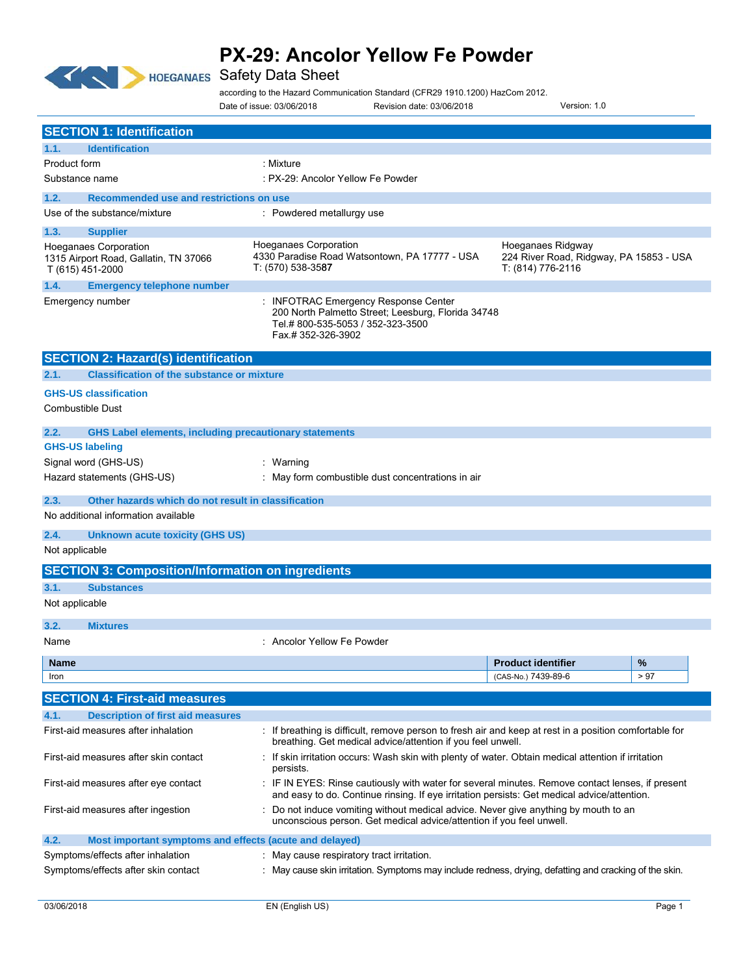

### **HOEGANAES** Safety Data Sheet

according to the Hazard Communication Standard (CFR29 1910.1200) HazCom 2012.

Date of issue: 03/06/2018 Revision date: 03/06/2018 Version: 1.0

| <b>SECTION 1: Identification</b>                                                          |                                                                                                                                                                       |                                                                                                                                                                                               |      |  |
|-------------------------------------------------------------------------------------------|-----------------------------------------------------------------------------------------------------------------------------------------------------------------------|-----------------------------------------------------------------------------------------------------------------------------------------------------------------------------------------------|------|--|
| 1.1.<br><b>Identification</b>                                                             |                                                                                                                                                                       |                                                                                                                                                                                               |      |  |
| <b>Product form</b>                                                                       | : Mixture                                                                                                                                                             |                                                                                                                                                                                               |      |  |
| Substance name                                                                            | : PX-29: Ancolor Yellow Fe Powder                                                                                                                                     |                                                                                                                                                                                               |      |  |
| 1.2.<br>Recommended use and restrictions on use                                           |                                                                                                                                                                       |                                                                                                                                                                                               |      |  |
| Use of the substance/mixture                                                              | : Powdered metallurgy use                                                                                                                                             |                                                                                                                                                                                               |      |  |
| 1.3.<br><b>Supplier</b>                                                                   |                                                                                                                                                                       |                                                                                                                                                                                               |      |  |
| <b>Hoeganaes Corporation</b><br>1315 Airport Road, Gallatin, TN 37066<br>T (615) 451-2000 | <b>Hoeganaes Corporation</b><br>4330 Paradise Road Watsontown, PA 17777 - USA<br>T: (570) 538-3587                                                                    | Hoeganaes Ridgway<br>224 River Road, Ridgway, PA 15853 - USA<br>T: (814) 776-2116                                                                                                             |      |  |
| 1.4.<br><b>Emergency telephone number</b>                                                 |                                                                                                                                                                       |                                                                                                                                                                                               |      |  |
| Emergency number                                                                          | <b>INFOTRAC Emergency Response Center</b><br>200 North Palmetto Street; Leesburg, Florida 34748<br>Tel.#800-535-5053 / 352-323-3500<br>Fax.# 352-326-3902             |                                                                                                                                                                                               |      |  |
| <b>SECTION 2: Hazard(s) identification</b>                                                |                                                                                                                                                                       |                                                                                                                                                                                               |      |  |
| <b>Classification of the substance or mixture</b><br>2.1.                                 |                                                                                                                                                                       |                                                                                                                                                                                               |      |  |
| <b>GHS-US classification</b><br><b>Combustible Dust</b>                                   |                                                                                                                                                                       |                                                                                                                                                                                               |      |  |
| <b>GHS Label elements, including precautionary statements</b><br>2.2.                     |                                                                                                                                                                       |                                                                                                                                                                                               |      |  |
| <b>GHS-US labeling</b>                                                                    |                                                                                                                                                                       |                                                                                                                                                                                               |      |  |
| Signal word (GHS-US)                                                                      | : Warning                                                                                                                                                             |                                                                                                                                                                                               |      |  |
| Hazard statements (GHS-US)                                                                | : May form combustible dust concentrations in air                                                                                                                     |                                                                                                                                                                                               |      |  |
| Other hazards which do not result in classification<br>2.3.                               |                                                                                                                                                                       |                                                                                                                                                                                               |      |  |
| No additional information available                                                       |                                                                                                                                                                       |                                                                                                                                                                                               |      |  |
| 2.4.<br><b>Unknown acute toxicity (GHS US)</b><br>Not applicable                          |                                                                                                                                                                       |                                                                                                                                                                                               |      |  |
| <b>SECTION 3: Composition/Information on ingredients</b>                                  |                                                                                                                                                                       |                                                                                                                                                                                               |      |  |
| 3.1.<br><b>Substances</b>                                                                 |                                                                                                                                                                       |                                                                                                                                                                                               |      |  |
| Not applicable                                                                            |                                                                                                                                                                       |                                                                                                                                                                                               |      |  |
| 3.2.<br><b>Mixtures</b>                                                                   |                                                                                                                                                                       |                                                                                                                                                                                               |      |  |
| Name                                                                                      | : Ancolor Yellow Fe Powder                                                                                                                                            |                                                                                                                                                                                               |      |  |
| <b>Name</b>                                                                               |                                                                                                                                                                       | <b>Product identifier</b>                                                                                                                                                                     | %    |  |
| Iron                                                                                      |                                                                                                                                                                       | (CAS-No.) 7439-89-6                                                                                                                                                                           | > 97 |  |
| <b>SECTION 4: First-aid measures</b>                                                      |                                                                                                                                                                       |                                                                                                                                                                                               |      |  |
| <b>Description of first aid measures</b><br>4.1.                                          |                                                                                                                                                                       |                                                                                                                                                                                               |      |  |
| First-aid measures after inhalation                                                       | : If breathing is difficult, remove person to fresh air and keep at rest in a position comfortable for<br>breathing. Get medical advice/attention if you feel unwell. |                                                                                                                                                                                               |      |  |
| First-aid measures after skin contact                                                     | : If skin irritation occurs: Wash skin with plenty of water. Obtain medical attention if irritation<br>persists.                                                      |                                                                                                                                                                                               |      |  |
| First-aid measures after eye contact                                                      |                                                                                                                                                                       | IF IN EYES: Rinse cautiously with water for several minutes. Remove contact lenses, if present<br>and easy to do. Continue rinsing. If eye irritation persists: Get medical advice/attention. |      |  |
| First-aid measures after ingestion                                                        | Do not induce vomiting without medical advice. Never give anything by mouth to an<br>unconscious person. Get medical advice/attention if you feel unwell.             |                                                                                                                                                                                               |      |  |
| Most important symptoms and effects (acute and delayed)<br>4.2.                           |                                                                                                                                                                       |                                                                                                                                                                                               |      |  |
| Symptoms/effects after inhalation                                                         | : May cause respiratory tract irritation.                                                                                                                             |                                                                                                                                                                                               |      |  |
| Symptoms/effects after skin contact                                                       | May cause skin irritation. Symptoms may include redness, drying, defatting and cracking of the skin.                                                                  |                                                                                                                                                                                               |      |  |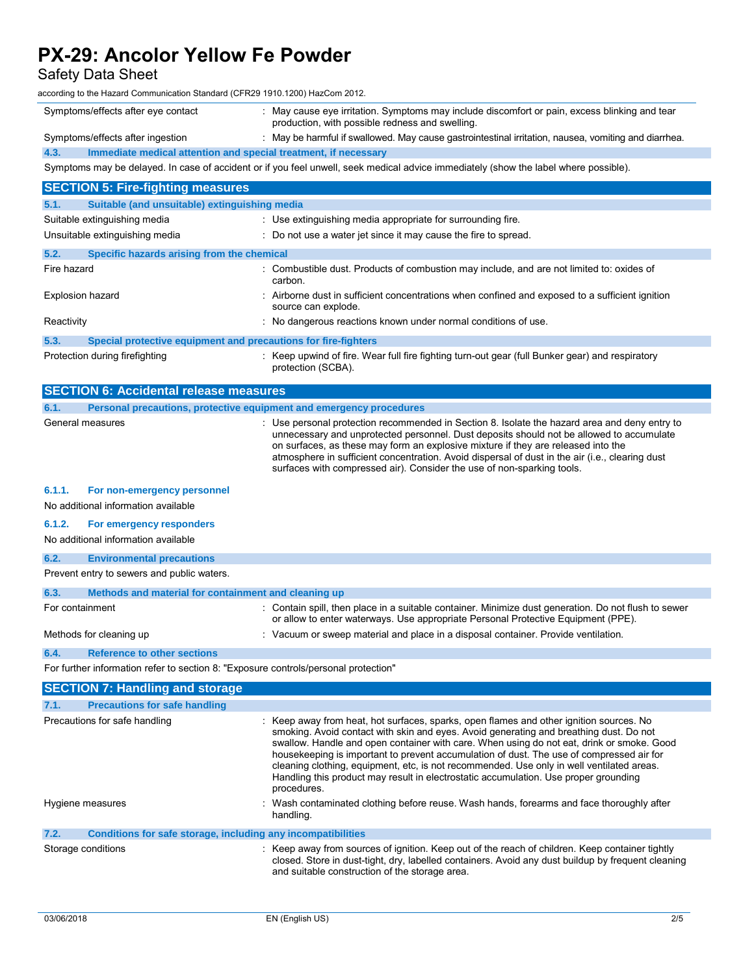Safety Data Sheet

according to the Hazard Communication Standard (CFR29 1910.1200) HazCom 2012.

|      | Symptoms/effects after eye contact                              | : May cause eye irritation. Symptoms may include discomfort or pain, excess blinking and tear<br>production, with possible redness and swelling. |
|------|-----------------------------------------------------------------|--------------------------------------------------------------------------------------------------------------------------------------------------|
|      | Symptoms/effects after ingestion                                | May be harmful if swallowed. May cause gastrointestinal irritation, nausea, vomiting and diarrhea.                                               |
| 4.3. | Immediate medical attention and special treatment, if necessary |                                                                                                                                                  |
|      |                                                                 |                                                                                                                                                  |

Symptoms may be delayed. In case of accident or if you feel unwell, seek medical advice immediately (show the label where possible).

| <b>SECTION 5: Fire-fighting measures</b>                                            |                                                                                                                                                                                                                                                                                                                                                                                                                                                                                                                                                                                |
|-------------------------------------------------------------------------------------|--------------------------------------------------------------------------------------------------------------------------------------------------------------------------------------------------------------------------------------------------------------------------------------------------------------------------------------------------------------------------------------------------------------------------------------------------------------------------------------------------------------------------------------------------------------------------------|
| 5.1.<br>Suitable (and unsuitable) extinguishing media                               |                                                                                                                                                                                                                                                                                                                                                                                                                                                                                                                                                                                |
| Suitable extinguishing media                                                        | : Use extinguishing media appropriate for surrounding fire.                                                                                                                                                                                                                                                                                                                                                                                                                                                                                                                    |
| Unsuitable extinguishing media                                                      | : Do not use a water jet since it may cause the fire to spread.                                                                                                                                                                                                                                                                                                                                                                                                                                                                                                                |
| 5.2.<br>Specific hazards arising from the chemical                                  |                                                                                                                                                                                                                                                                                                                                                                                                                                                                                                                                                                                |
| Fire hazard                                                                         | : Combustible dust. Products of combustion may include, and are not limited to: oxides of<br>carbon.                                                                                                                                                                                                                                                                                                                                                                                                                                                                           |
| <b>Explosion hazard</b>                                                             | : Airborne dust in sufficient concentrations when confined and exposed to a sufficient ignition<br>source can explode.                                                                                                                                                                                                                                                                                                                                                                                                                                                         |
| Reactivity                                                                          | : No dangerous reactions known under normal conditions of use.                                                                                                                                                                                                                                                                                                                                                                                                                                                                                                                 |
| 5.3.<br>Special protective equipment and precautions for fire-fighters              |                                                                                                                                                                                                                                                                                                                                                                                                                                                                                                                                                                                |
| Protection during firefighting                                                      | : Keep upwind of fire. Wear full fire fighting turn-out gear (full Bunker gear) and respiratory<br>protection (SCBA).                                                                                                                                                                                                                                                                                                                                                                                                                                                          |
| <b>SECTION 6: Accidental release measures</b>                                       |                                                                                                                                                                                                                                                                                                                                                                                                                                                                                                                                                                                |
| 6.1.<br>Personal precautions, protective equipment and emergency procedures         |                                                                                                                                                                                                                                                                                                                                                                                                                                                                                                                                                                                |
| General measures                                                                    | : Use personal protection recommended in Section 8. Isolate the hazard area and deny entry to<br>unnecessary and unprotected personnel. Dust deposits should not be allowed to accumulate<br>on surfaces, as these may form an explosive mixture if they are released into the<br>atmosphere in sufficient concentration. Avoid dispersal of dust in the air (i.e., clearing dust<br>surfaces with compressed air). Consider the use of non-sparking tools.                                                                                                                    |
| 6.1.1.<br>For non-emergency personnel<br>No additional information available        |                                                                                                                                                                                                                                                                                                                                                                                                                                                                                                                                                                                |
| 6.1.2.<br>For emergency responders<br>No additional information available           |                                                                                                                                                                                                                                                                                                                                                                                                                                                                                                                                                                                |
| 6.2.<br><b>Environmental precautions</b>                                            |                                                                                                                                                                                                                                                                                                                                                                                                                                                                                                                                                                                |
| Prevent entry to sewers and public waters.                                          |                                                                                                                                                                                                                                                                                                                                                                                                                                                                                                                                                                                |
| 6.3.<br>Methods and material for containment and cleaning up                        |                                                                                                                                                                                                                                                                                                                                                                                                                                                                                                                                                                                |
| For containment                                                                     | : Contain spill, then place in a suitable container. Minimize dust generation. Do not flush to sewer<br>or allow to enter waterways. Use appropriate Personal Protective Equipment (PPE).                                                                                                                                                                                                                                                                                                                                                                                      |
| Methods for cleaning up                                                             | : Vacuum or sweep material and place in a disposal container. Provide ventilation.                                                                                                                                                                                                                                                                                                                                                                                                                                                                                             |
| 6.4.<br><b>Reference to other sections</b>                                          |                                                                                                                                                                                                                                                                                                                                                                                                                                                                                                                                                                                |
| For further information refer to section 8: "Exposure controls/personal protection" |                                                                                                                                                                                                                                                                                                                                                                                                                                                                                                                                                                                |
| <b>SECTION 7: Handling and storage</b>                                              |                                                                                                                                                                                                                                                                                                                                                                                                                                                                                                                                                                                |
| 7.1.<br><b>Precautions for safe handling</b>                                        |                                                                                                                                                                                                                                                                                                                                                                                                                                                                                                                                                                                |
| Precautions for safe handling                                                       | : Keep away from heat, hot surfaces, sparks, open flames and other ignition sources. No<br>smoking. Avoid contact with skin and eyes. Avoid generating and breathing dust. Do not<br>swallow. Handle and open container with care. When using do not eat, drink or smoke. Good<br>housekeeping is important to prevent accumulation of dust. The use of compressed air for<br>cleaning clothing, equipment, etc, is not recommended. Use only in well ventilated areas.<br>Handling this product may result in electrostatic accumulation. Use proper grounding<br>procedures. |
| Hygiene measures                                                                    | : Wash contaminated clothing before reuse. Wash hands, forearms and face thoroughly after<br>handling.                                                                                                                                                                                                                                                                                                                                                                                                                                                                         |
| Conditions for safe storage, including any incompatibilities<br>7.2.                |                                                                                                                                                                                                                                                                                                                                                                                                                                                                                                                                                                                |
| Storage conditions                                                                  | : Keep away from sources of ignition. Keep out of the reach of children. Keep container tightly<br>closed. Store in dust-tight, dry, labelled containers. Avoid any dust buildup by frequent cleaning<br>and suitable construction of the storage area.                                                                                                                                                                                                                                                                                                                        |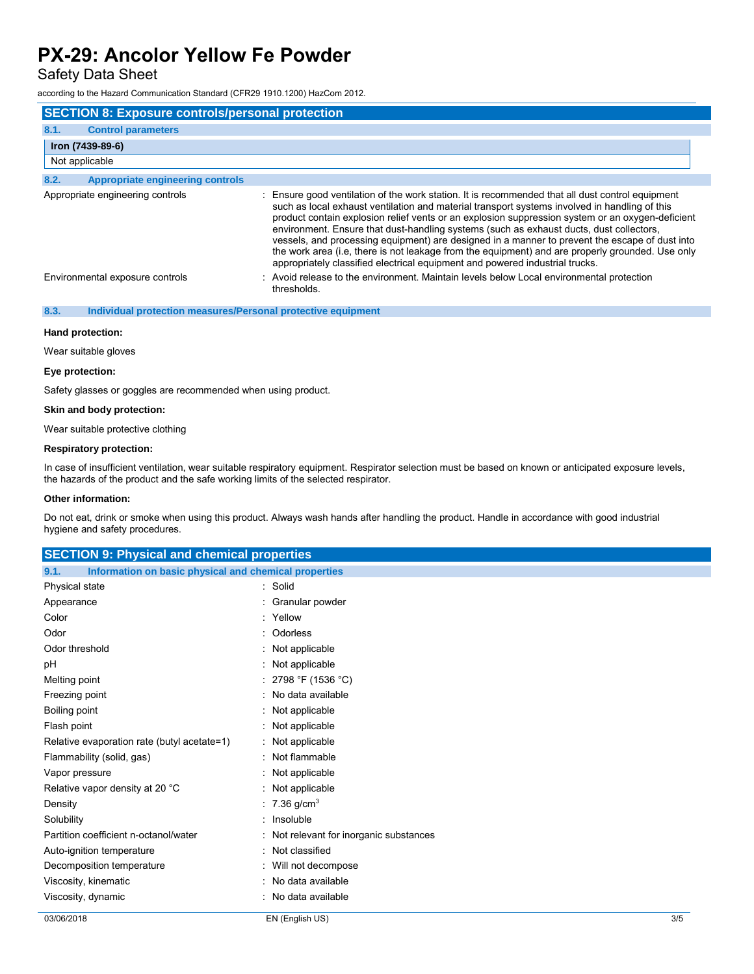Safety Data Sheet

according to the Hazard Communication Standard (CFR29 1910.1200) HazCom 2012.

| <b>SECTION 8: Exposure controls/personal protection</b> |                                                                                                                                                                                                                                                                                                                                                                                                                                                                                                                                                                                                                                                                                        |  |
|---------------------------------------------------------|----------------------------------------------------------------------------------------------------------------------------------------------------------------------------------------------------------------------------------------------------------------------------------------------------------------------------------------------------------------------------------------------------------------------------------------------------------------------------------------------------------------------------------------------------------------------------------------------------------------------------------------------------------------------------------------|--|
| 8.1.<br><b>Control parameters</b>                       |                                                                                                                                                                                                                                                                                                                                                                                                                                                                                                                                                                                                                                                                                        |  |
| Iron (7439-89-6)                                        |                                                                                                                                                                                                                                                                                                                                                                                                                                                                                                                                                                                                                                                                                        |  |
| Not applicable                                          |                                                                                                                                                                                                                                                                                                                                                                                                                                                                                                                                                                                                                                                                                        |  |
| 8.2.<br><b>Appropriate engineering controls</b>         |                                                                                                                                                                                                                                                                                                                                                                                                                                                                                                                                                                                                                                                                                        |  |
| Appropriate engineering controls                        | : Ensure good ventilation of the work station. It is recommended that all dust control equipment<br>such as local exhaust ventilation and material transport systems involved in handling of this<br>product contain explosion relief vents or an explosion suppression system or an oxygen-deficient<br>environment. Ensure that dust-handling systems (such as exhaust ducts, dust collectors,<br>vessels, and processing equipment) are designed in a manner to prevent the escape of dust into<br>the work area (i.e, there is not leakage from the equipment) and are properly grounded. Use only<br>appropriately classified electrical equipment and powered industrial trucks. |  |
| Environmental exposure controls                         | : Avoid release to the environment. Maintain levels below Local environmental protection<br>thresholds.                                                                                                                                                                                                                                                                                                                                                                                                                                                                                                                                                                                |  |

#### **8.3. Individual protection measures/Personal protective equipment**

#### **Hand protection:**

Wear suitable gloves

#### **Eye protection:**

Safety glasses or goggles are recommended when using product.

#### **Skin and body protection:**

Wear suitable protective clothing

#### **Respiratory protection:**

In case of insufficient ventilation, wear suitable respiratory equipment. Respirator selection must be based on known or anticipated exposure levels, the hazards of the product and the safe working limits of the selected respirator.

#### **Other information:**

Do not eat, drink or smoke when using this product. Always wash hands after handling the product. Handle in accordance with good industrial hygiene and safety procedures.

| <b>SECTION 9: Physical and chemical properties</b>            |                                         |     |
|---------------------------------------------------------------|-----------------------------------------|-----|
| Information on basic physical and chemical properties<br>9.1. |                                         |     |
| Physical state                                                | : Solid                                 |     |
| Appearance                                                    | : Granular powder                       |     |
| Color                                                         | : Yellow                                |     |
| Odor                                                          | : Odorless                              |     |
| Odor threshold                                                | : Not applicable                        |     |
| pH                                                            | : Not applicable                        |     |
| Melting point                                                 | : 2798 °F (1536 °C)                     |     |
| Freezing point                                                | : No data available                     |     |
| Boiling point                                                 | : Not applicable                        |     |
| Flash point                                                   | : Not applicable                        |     |
| Relative evaporation rate (butyl acetate=1)                   | : Not applicable                        |     |
| Flammability (solid, gas)                                     | : Not flammable                         |     |
| Vapor pressure                                                | : Not applicable                        |     |
| Relative vapor density at 20 °C                               | : Not applicable                        |     |
| Density                                                       | : 7.36 g/cm <sup>3</sup>                |     |
| Solubility                                                    | : Insoluble                             |     |
| Partition coefficient n-octanol/water                         | : Not relevant for inorganic substances |     |
| Auto-ignition temperature                                     | : Not classified                        |     |
| Decomposition temperature                                     | : Will not decompose                    |     |
| Viscosity, kinematic                                          | : No data available                     |     |
| Viscosity, dynamic                                            | : No data available                     |     |
| 03/06/2018                                                    | EN (English US)                         | 3/5 |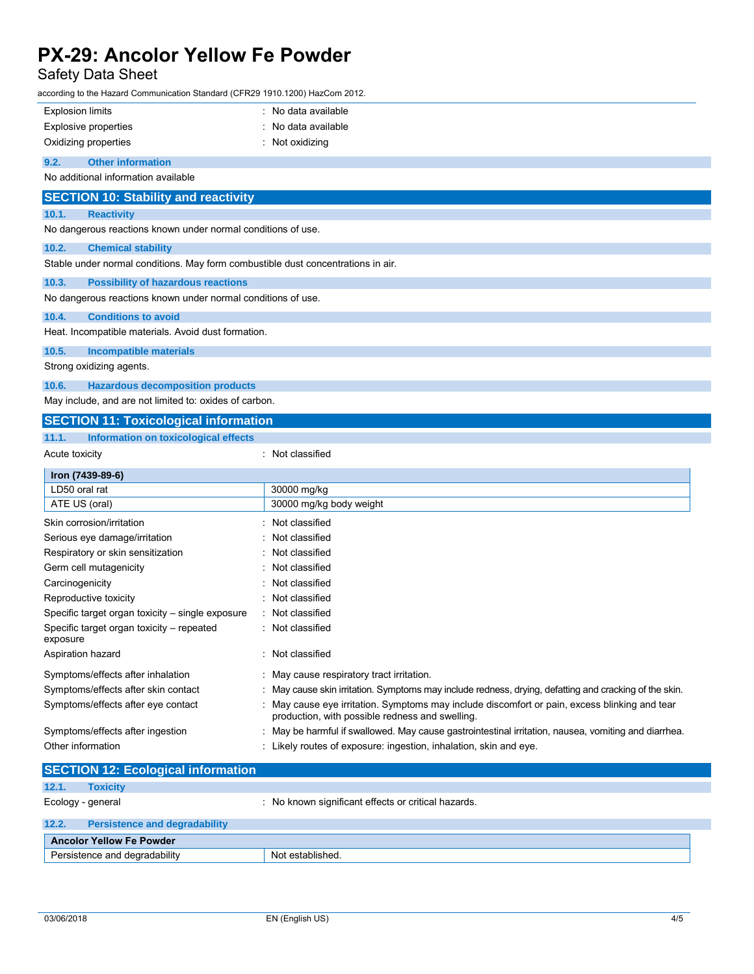Safety Data Sheet

| according to the Hazard Communication Standard (CFR29 1910.1200) HazCom 2012.    |                                                                                                                                                  |  |  |
|----------------------------------------------------------------------------------|--------------------------------------------------------------------------------------------------------------------------------------------------|--|--|
| <b>Explosion limits</b>                                                          | : No data available                                                                                                                              |  |  |
| <b>Explosive properties</b>                                                      | No data available                                                                                                                                |  |  |
| Oxidizing properties<br>$:$ Not oxidizing                                        |                                                                                                                                                  |  |  |
| 9.2.<br><b>Other information</b>                                                 |                                                                                                                                                  |  |  |
| No additional information available                                              |                                                                                                                                                  |  |  |
| <b>SECTION 10: Stability and reactivity</b>                                      |                                                                                                                                                  |  |  |
| 10.1.<br><b>Reactivity</b>                                                       |                                                                                                                                                  |  |  |
| No dangerous reactions known under normal conditions of use.                     |                                                                                                                                                  |  |  |
| 10.2.<br><b>Chemical stability</b>                                               |                                                                                                                                                  |  |  |
| Stable under normal conditions. May form combustible dust concentrations in air. |                                                                                                                                                  |  |  |
| 10.3.<br><b>Possibility of hazardous reactions</b>                               |                                                                                                                                                  |  |  |
| No dangerous reactions known under normal conditions of use.                     |                                                                                                                                                  |  |  |
| 10.4.<br><b>Conditions to avoid</b>                                              |                                                                                                                                                  |  |  |
| Heat. Incompatible materials. Avoid dust formation.                              |                                                                                                                                                  |  |  |
| 10.5.<br><b>Incompatible materials</b>                                           |                                                                                                                                                  |  |  |
| Strong oxidizing agents.                                                         |                                                                                                                                                  |  |  |
| 10.6.<br><b>Hazardous decomposition products</b>                                 |                                                                                                                                                  |  |  |
| May include, and are not limited to: oxides of carbon.                           |                                                                                                                                                  |  |  |
| <b>SECTION 11: Toxicological information</b>                                     |                                                                                                                                                  |  |  |
| 11.1.<br>Information on toxicological effects                                    |                                                                                                                                                  |  |  |
| Acute toxicity                                                                   | : Not classified                                                                                                                                 |  |  |
|                                                                                  |                                                                                                                                                  |  |  |
| Iron (7439-89-6)                                                                 |                                                                                                                                                  |  |  |
| LD50 oral rat                                                                    | 30000 mg/kg                                                                                                                                      |  |  |
| ATE US (oral)                                                                    | 30000 mg/kg body weight                                                                                                                          |  |  |
| Skin corrosion/irritation                                                        | Not classified                                                                                                                                   |  |  |
| Serious eye damage/irritation                                                    | Not classified                                                                                                                                   |  |  |
| Respiratory or skin sensitization                                                | Not classified                                                                                                                                   |  |  |
| Germ cell mutagenicity                                                           | Not classified                                                                                                                                   |  |  |
| Carcinogenicity                                                                  | Not classified                                                                                                                                   |  |  |
| Reproductive toxicity                                                            | : Not classified                                                                                                                                 |  |  |
| Specific target organ toxicity - single exposure                                 | Not classified                                                                                                                                   |  |  |
| Specific target organ toxicity - repeated<br>exposure                            | : Not classified                                                                                                                                 |  |  |
| Aspiration hazard                                                                | : Not classified                                                                                                                                 |  |  |
| Symptoms/effects after inhalation                                                | : May cause respiratory tract irritation.                                                                                                        |  |  |
| Symptoms/effects after skin contact                                              | May cause skin irritation. Symptoms may include redness, drying, defatting and cracking of the skin.                                             |  |  |
| Symptoms/effects after eye contact                                               | : May cause eye irritation. Symptoms may include discomfort or pain, excess blinking and tear<br>production, with possible redness and swelling. |  |  |
| Symptoms/effects after ingestion                                                 | May be harmful if swallowed. May cause gastrointestinal irritation, nausea, vomiting and diarrhea.                                               |  |  |
| Other information                                                                | : Likely routes of exposure: ingestion, inhalation, skin and eye.                                                                                |  |  |
|                                                                                  |                                                                                                                                                  |  |  |
| <b>SECTION 12: Ecological information</b><br>12.1.<br><b>Toxicity</b>            |                                                                                                                                                  |  |  |

| 12.2. | <b>Persistence and degradability</b> |                  |  |
|-------|--------------------------------------|------------------|--|
|       | <b>Ancolor Yellow Fe Powder</b>      |                  |  |
|       | Persistence and degradability        | Not established. |  |